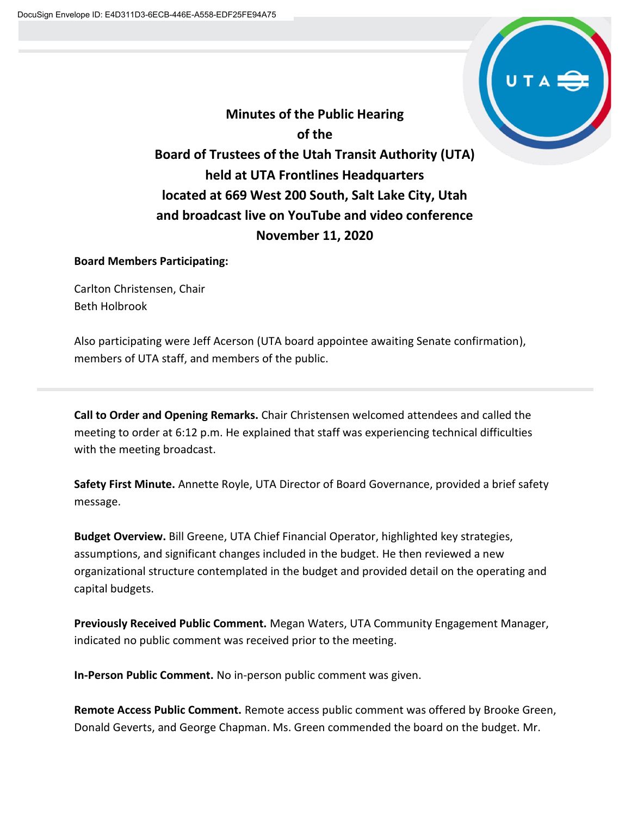

**Minutes of the Public Hearing of the Board of Trustees of the Utah Transit Authority (UTA) held at UTA Frontlines Headquarters located at 669 West 200 South, Salt Lake City, Utah and broadcast live on YouTube and video conference November 11, 2020**

## **Board Members Participating:**

Carlton Christensen, Chair Beth Holbrook

Also participating were Jeff Acerson (UTA board appointee awaiting Senate confirmation), members of UTA staff, and members of the public.

**Call to Order and Opening Remarks.** Chair Christensen welcomed attendees and called the meeting to order at 6:12 p.m. He explained that staff was experiencing technical difficulties with the meeting broadcast.

**Safety First Minute.** Annette Royle, UTA Director of Board Governance, provided a brief safety message.

**Budget Overview.** Bill Greene, UTA Chief Financial Operator, highlighted key strategies, assumptions, and significant changes included in the budget. He then reviewed a new organizational structure contemplated in the budget and provided detail on the operating and capital budgets.

**Previously Received Public Comment.** Megan Waters, UTA Community Engagement Manager, indicated no public comment was received prior to the meeting.

**In-Person Public Comment.** No in-person public comment was given.

**Remote Access Public Comment.** Remote access public comment was offered by Brooke Green, Donald Geverts, and George Chapman. Ms. Green commended the board on the budget. Mr.